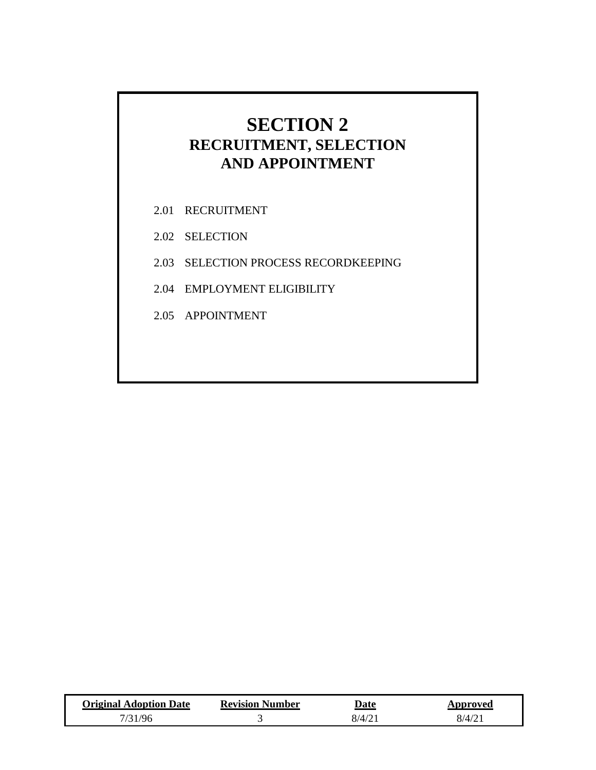## **SECTION 2 RECRUITMENT, SELECTION AND APPOINTMENT**

- 2.01 RECRUITMENT
- 2.02 SELECTION
- 2.03 SELECTION PROCESS RECORDKEEPING
- 2.04 EMPLOYMENT ELIGIBILITY
- 2.05 APPOINTMENT

| <b>Original Adoption Date</b> | <b>Revision Number</b> | Date   | Approved           |
|-------------------------------|------------------------|--------|--------------------|
| 31/96                         |                        | 8/4/21 | 8/4/2 <sup>1</sup> |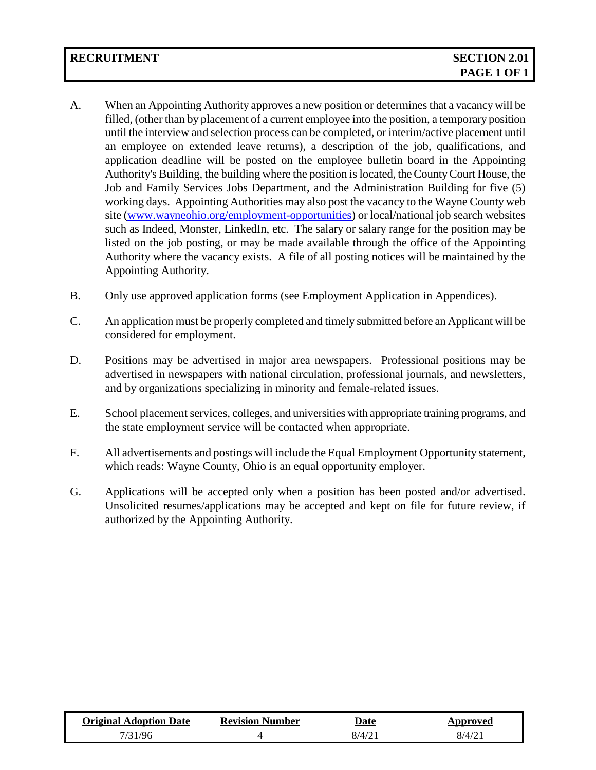- A. When an Appointing Authority approves a new position or determines that a vacancy will be filled, (other than by placement of a current employee into the position, a temporary position until the interview and selection process can be completed, or interim/active placement until an employee on extended leave returns), a description of the job, qualifications, and application deadline will be posted on the employee bulletin board in the Appointing Authority's Building, the building where the position is located, the County Court House, the Job and Family Services Jobs Department, and the Administration Building for five (5) working days. Appointing Authorities may also post the vacancy to the Wayne County web site [\(www.wayneohio.org/employment-opportunities\)](http://www.wayneohio.org/employment-opportunities) or local/national job search websites such as Indeed, Monster, LinkedIn, etc. The salary or salary range for the position may be listed on the job posting, or may be made available through the office of the Appointing Authority where the vacancy exists. A file of all posting notices will be maintained by the Appointing Authority.
- B. Only use approved application forms (see Employment Application in Appendices).
- C. An application must be properly completed and timely submitted before an Applicant will be considered for employment.
- D. Positions may be advertised in major area newspapers. Professional positions may be advertised in newspapers with national circulation, professional journals, and newsletters, and by organizations specializing in minority and female-related issues.
- E. School placement services, colleges, and universities with appropriate training programs, and the state employment service will be contacted when appropriate.
- F. All advertisements and postings will include the Equal Employment Opportunity statement, which reads: Wayne County, Ohio is an equal opportunity employer.
- G. Applications will be accepted only when a position has been posted and/or advertised. Unsolicited resumes/applications may be accepted and kept on file for future review, if authorized by the Appointing Authority.

| <b>Original Adoption Date</b> | <b>Revision Number</b> | Date              | pproved.                              |
|-------------------------------|------------------------|-------------------|---------------------------------------|
| / $96$                        |                        | $8/4/2^{\degree}$ | $\mathcal{R}/\mathcal{A}/\mathcal{D}$ |
|                               |                        |                   |                                       |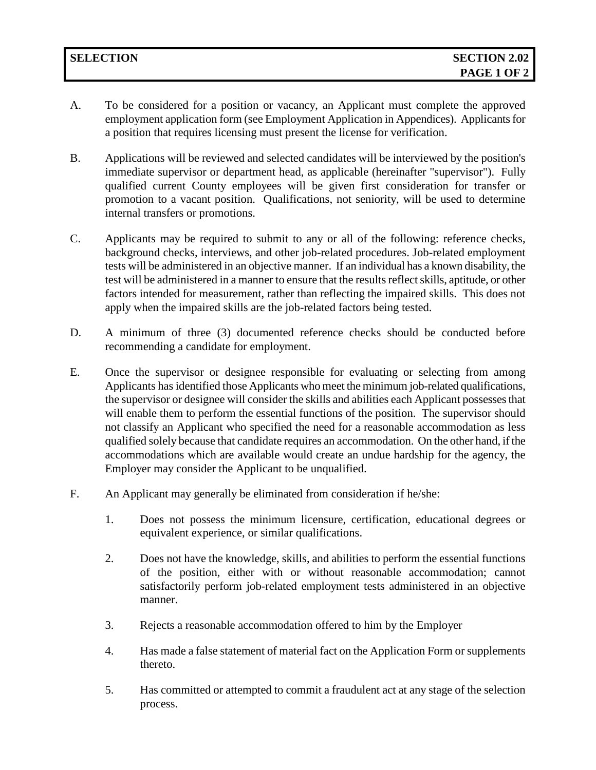- A. To be considered for a position or vacancy, an Applicant must complete the approved employment application form (see Employment Application in Appendices). Applicants for a position that requires licensing must present the license for verification.
- B. Applications will be reviewed and selected candidates will be interviewed by the position's immediate supervisor or department head, as applicable (hereinafter "supervisor"). Fully qualified current County employees will be given first consideration for transfer or promotion to a vacant position. Qualifications, not seniority, will be used to determine internal transfers or promotions.
- C. Applicants may be required to submit to any or all of the following: reference checks, background checks, interviews, and other job-related procedures. Job-related employment tests will be administered in an objective manner. If an individual has a known disability, the test will be administered in a manner to ensure that the results reflect skills, aptitude, or other factors intended for measurement, rather than reflecting the impaired skills. This does not apply when the impaired skills are the job-related factors being tested.
- D. A minimum of three (3) documented reference checks should be conducted before recommending a candidate for employment.
- E. Once the supervisor or designee responsible for evaluating or selecting from among Applicants has identified those Applicants who meet the minimum job-related qualifications, the supervisor or designee will consider the skills and abilities each Applicant possesses that will enable them to perform the essential functions of the position. The supervisor should not classify an Applicant who specified the need for a reasonable accommodation as less qualified solely because that candidate requires an accommodation. On the other hand, if the accommodations which are available would create an undue hardship for the agency, the Employer may consider the Applicant to be unqualified.
- F. An Applicant may generally be eliminated from consideration if he/she:
	- 1. Does not possess the minimum licensure, certification, educational degrees or equivalent experience, or similar qualifications.
	- 2. Does not have the knowledge, skills, and abilities to perform the essential functions of the position, either with or without reasonable accommodation; cannot satisfactorily perform job-related employment tests administered in an objective manner.
	- 3. Rejects a reasonable accommodation offered to him by the Employer
	- 4. Has made a false statement of material fact on the Application Form or supplements thereto.
	- 5. Has committed or attempted to commit a fraudulent act at any stage of the selection process.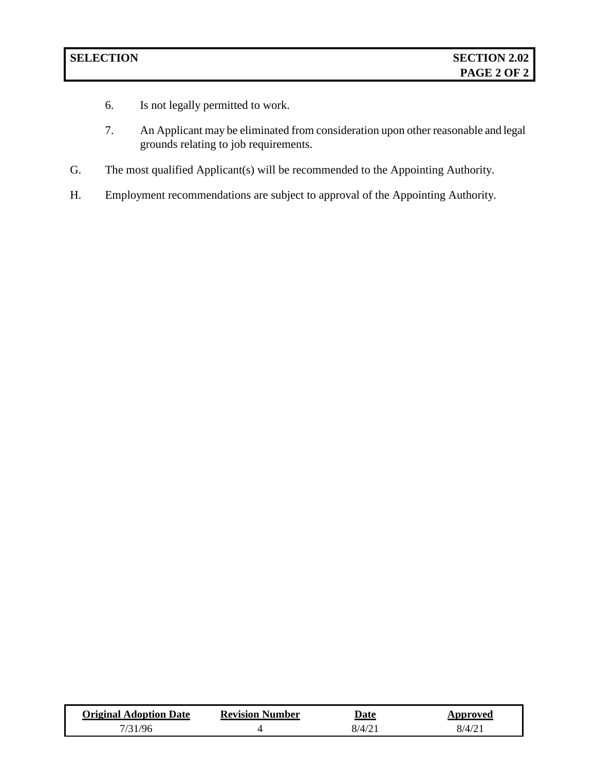- 6. Is not legally permitted to work.
- 7. An Applicant may be eliminated from consideration upon other reasonable and legal grounds relating to job requirements.
- G. The most qualified Applicant(s) will be recommended to the Appointing Authority.
- H. Employment recommendations are subject to approval of the Appointing Authority.

| <b>Original Adoption Date</b> | <b>Revision Number</b> | Date   | Approved |
|-------------------------------|------------------------|--------|----------|
| 31/96                         |                        | 8/4/21 | 8/4/21   |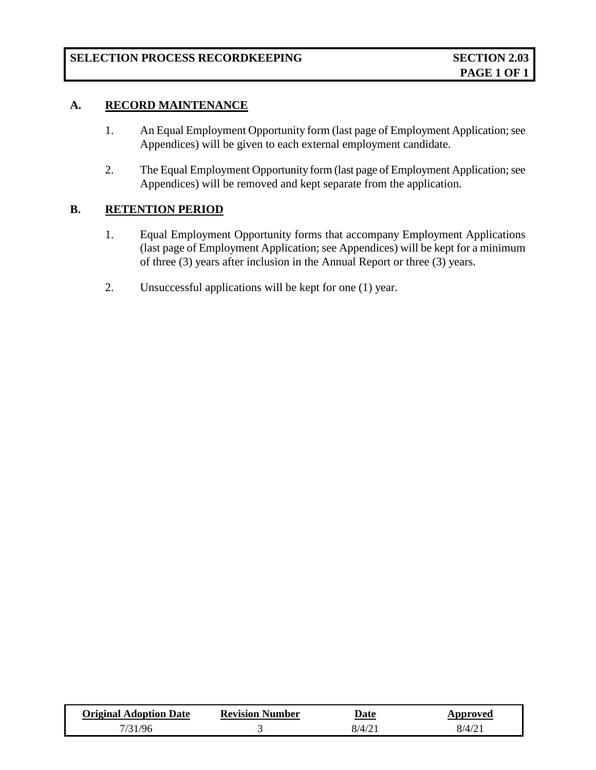## **A. RECORD MAINTENANCE**

- 1. An Equal Employment Opportunity form (last page of Employment Application; see Appendices) will be given to each external employment candidate.
- 2. The Equal Employment Opportunity form (last page of Employment Application; see Appendices) will be removed and kept separate from the application.

## **B. RETENTION PERIOD**

- 1. Equal Employment Opportunity forms that accompany Employment Applications (last page of Employment Application; see Appendices) will be kept for a minimum of three (3) years after inclusion in the Annual Report or three (3) years.
- 2. Unsuccessful applications will be kept for one (1) year.

| <b>Original Adoption Date</b> | <b>Revision Number</b> | Date   | Approved |
|-------------------------------|------------------------|--------|----------|
| -1796                         |                        | 8/4/21 | 8/4/21   |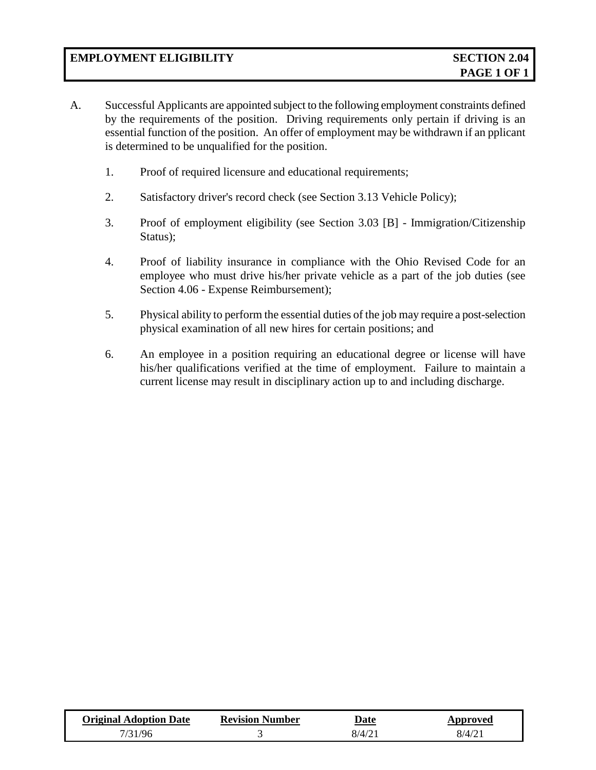- A. Successful Applicants are appointed subject to the following employment constraints defined by the requirements of the position. Driving requirements only pertain if driving is an essential function of the position. An offer of employment may be withdrawn if an pplicant is determined to be unqualified for the position.
	- 1. Proof of required licensure and educational requirements;
	- 2. Satisfactory driver's record check (see Section 3.13 Vehicle Policy);
	- 3. Proof of employment eligibility (see Section 3.03 [B] Immigration/Citizenship Status);
	- 4. Proof of liability insurance in compliance with the Ohio Revised Code for an employee who must drive his/her private vehicle as a part of the job duties (see Section 4.06 - Expense Reimbursement);
	- 5. Physical ability to perform the essential duties of the job may require a post-selection physical examination of all new hires for certain positions; and
	- 6. An employee in a position requiring an educational degree or license will have his/her qualifications verified at the time of employment. Failure to maintain a current license may result in disciplinary action up to and including discharge.

| <b>Original Adoption Date</b> | <b>Revision Number</b> | Date   | Approved  |
|-------------------------------|------------------------|--------|-----------|
| - 796                         |                        | 8/4/21 | $8/4/2$ . |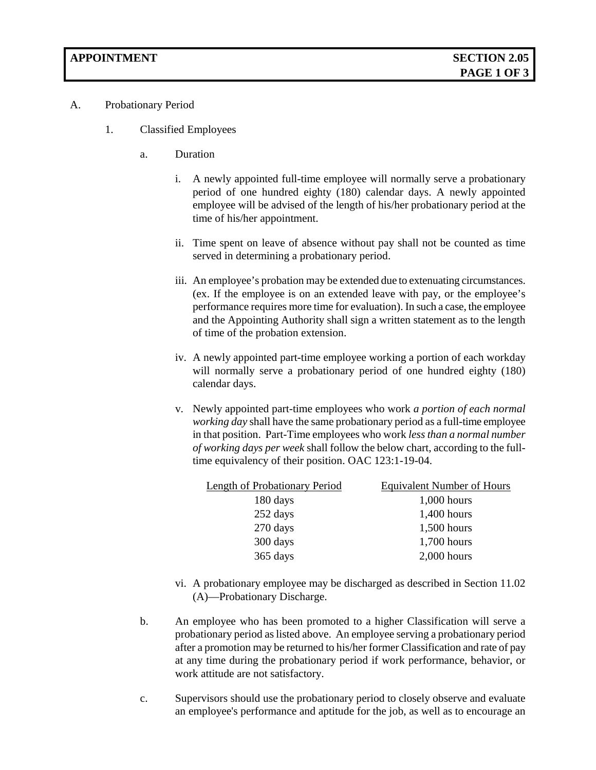- A. Probationary Period
	- 1. Classified Employees
		- a. Duration
			- i. A newly appointed full-time employee will normally serve a probationary period of one hundred eighty (180) calendar days. A newly appointed employee will be advised of the length of his/her probationary period at the time of his/her appointment.
			- ii. Time spent on leave of absence without pay shall not be counted as time served in determining a probationary period.
			- iii. An employee's probation may be extended due to extenuating circumstances. (ex. If the employee is on an extended leave with pay, or the employee's performance requires more time for evaluation). In such a case, the employee and the Appointing Authority shall sign a written statement as to the length of time of the probation extension.
			- iv. A newly appointed part-time employee working a portion of each workday will normally serve a probationary period of one hundred eighty (180) calendar days.
			- v. Newly appointed part-time employees who work *a portion of each normal working day* shall have the same probationary period as a full-time employee in that position. Part-Time employees who work *less than a normal number of working days per week* shall follow the below chart, according to the fulltime equivalency of their position. OAC 123:1-19-04.

| <b>Length of Probationary Period</b> | <b>Equivalent Number of Hours</b> |
|--------------------------------------|-----------------------------------|
| 180 days                             | $1,000$ hours                     |
| 252 days                             | $1,400$ hours                     |
| 270 days                             | $1,500$ hours                     |
| 300 days                             | 1,700 hours                       |
| 365 days                             | $2,000$ hours                     |
|                                      |                                   |

- vi. A probationary employee may be discharged as described in Section 11.02 (A)—Probationary Discharge.
- b. An employee who has been promoted to a higher Classification will serve a probationary period as listed above. An employee serving a probationary period after a promotion may be returned to his/her former Classification and rate of pay at any time during the probationary period if work performance, behavior, or work attitude are not satisfactory.
- c. Supervisors should use the probationary period to closely observe and evaluate an employee's performance and aptitude for the job, as well as to encourage an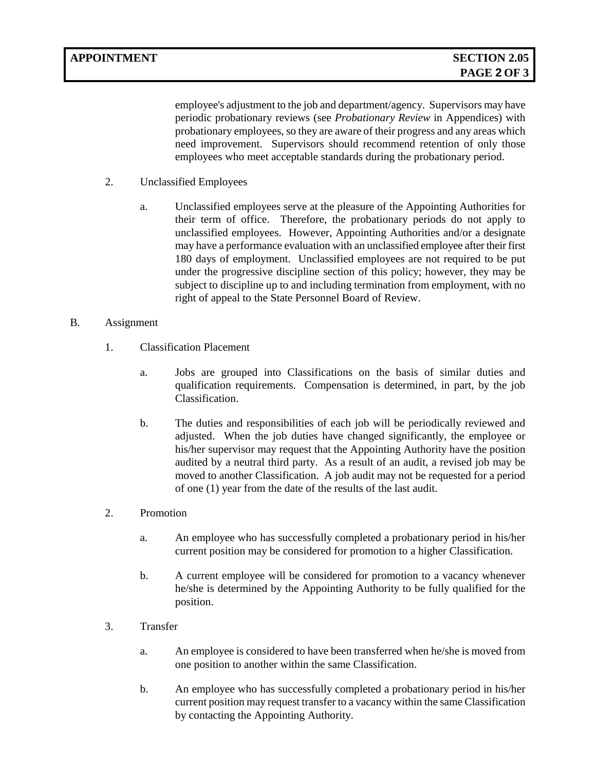employee's adjustment to the job and department/agency. Supervisors may have periodic probationary reviews (see *Probationary Review* in Appendices) with probationary employees, so they are aware of their progress and any areas which need improvement. Supervisors should recommend retention of only those employees who meet acceptable standards during the probationary period.

- 2. Unclassified Employees
	- a. Unclassified employees serve at the pleasure of the Appointing Authorities for their term of office. Therefore, the probationary periods do not apply to unclassified employees. However, Appointing Authorities and/or a designate may have a performance evaluation with an unclassified employee after their first 180 days of employment. Unclassified employees are not required to be put under the progressive discipline section of this policy; however, they may be subject to discipline up to and including termination from employment, with no right of appeal to the State Personnel Board of Review.
- B. Assignment
	- 1. Classification Placement
		- a. Jobs are grouped into Classifications on the basis of similar duties and qualification requirements. Compensation is determined, in part, by the job Classification.
		- b. The duties and responsibilities of each job will be periodically reviewed and adjusted. When the job duties have changed significantly, the employee or his/her supervisor may request that the Appointing Authority have the position audited by a neutral third party. As a result of an audit, a revised job may be moved to another Classification. A job audit may not be requested for a period of one (1) year from the date of the results of the last audit.
	- 2. Promotion
		- a. An employee who has successfully completed a probationary period in his/her current position may be considered for promotion to a higher Classification.
		- b. A current employee will be considered for promotion to a vacancy whenever he/she is determined by the Appointing Authority to be fully qualified for the position.
	- 3. Transfer
		- a. An employee is considered to have been transferred when he/she is moved from one position to another within the same Classification.
		- b. An employee who has successfully completed a probationary period in his/her current position may request transfer to a vacancy within the same Classification by contacting the Appointing Authority.